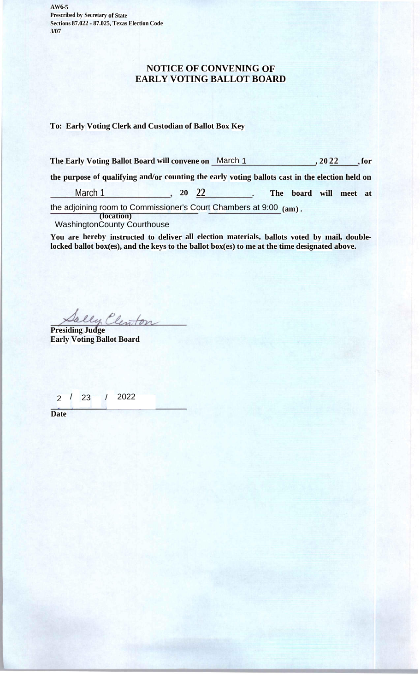**AW6-5 Prescribed by Secretary of State Sections 87.022 - 87.025,Texas Election Code 3/07**

## **NOTICE OF CONVENING OF EARLY VOTING BALLOT BOARD**

## **To: Early Voting Clerk and Custodian of Ballot Box Key**

**The Early Voting Ballot Board will convene on** March 1 **the purpose of qualifying and/or counting the early voting ballots cast in the election held on , 20 22 for**

**The board will meet at** March 1 **20 22**

**(am) .** the adjoining room to Commissioner's Court Chambers at 9:00

**(location)** WashingtonCounty Courthouse

**You are hereby instructed to deliver all election materials, ballots voted by mail, doublelocked ballot box(es), and the keys to the ballot box(es) to me at the time designated above.**

**Presiding Judge**

**Early Voting Ballot Board**

2 / 23 / 2022

**Date**